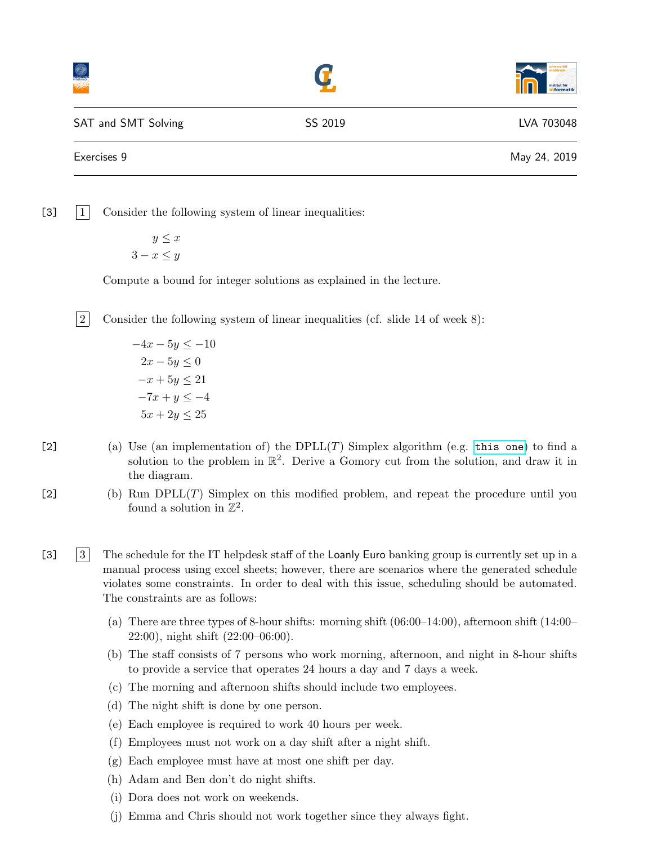|         | <b>Institut für</b><br><b>Informatik</b> |
|---------|------------------------------------------|
| SS 2019 | LVA 703048                               |
|         | May 24, 2019                             |
|         |                                          |

 $\begin{bmatrix} 3 \end{bmatrix}$  1 Consider the following system of linear inequalities:

 $y \leq x$  $3 - x \leq y$ 

Compute a bound for integer solutions as explained in the lecture.

 $\boxed{2}$  Consider the following system of linear inequalities (cf. slide 14 of week 8):

 $-4x - 5y \le -10$  $2x - 5y \leq 0$  $-x + 5y \le 21$  $-7x + y \leq -4$  $5x + 2y \le 25$ 

- [2] (a) Use (an implementation of) the  $DPLL(T)$  Simplex algorithm (e.g. [this one](http://cl-informatik.uibk.ac.at/teaching/ss19/satsmt/sources/simplex.tar.gz)) to find a solution to the problem in  $\mathbb{R}^2$ . Derive a Gomory cut from the solution, and draw it in the diagram.
- $[2]$  (b) Run DPLL(T) Simplex on this modified problem, and repeat the procedure until you found a solution in  $\mathbb{Z}^2$ .
- [3] 3 The schedule for the IT helpdesk staff of the Loanly Euro banking group is currently set up in a manual process using excel sheets; however, there are scenarios where the generated schedule violates some constraints. In order to deal with this issue, scheduling should be automated. The constraints are as follows:
	- (a) There are three types of 8-hour shifts: morning shift  $(06:00-14:00)$ , afternoon shift  $(14:00-$ 22:00), night shift (22:00–06:00).
	- (b) The staff consists of 7 persons who work morning, afternoon, and night in 8-hour shifts to provide a service that operates 24 hours a day and 7 days a week.
	- (c) The morning and afternoon shifts should include two employees.
	- (d) The night shift is done by one person.
	- (e) Each employee is required to work 40 hours per week.
	- (f) Employees must not work on a day shift after a night shift.
	- (g) Each employee must have at most one shift per day.
	- (h) Adam and Ben don't do night shifts.
	- (i) Dora does not work on weekends.
	- (j) Emma and Chris should not work together since they always fight.